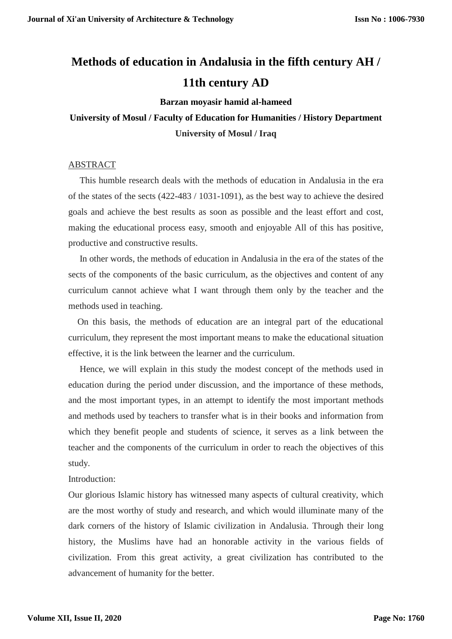# **Methods of education in Andalusia in the fifth century AH / 11th century AD**

#### **Barzan moyasir hamid al-hameed**

## **University of Mosul / Faculty of Education for Humanities / History Department University of Mosul / Iraq**

### ABSTRACT

 This humble research deals with the methods of education in Andalusia in the era of the states of the sects (422-483 / 1031-1091), as the best way to achieve the desired goals and achieve the best results as soon as possible and the least effort and cost, making the educational process easy, smooth and enjoyable All of this has positive, productive and constructive results.

 In other words, the methods of education in Andalusia in the era of the states of the sects of the components of the basic curriculum, as the objectives and content of any curriculum cannot achieve what I want through them only by the teacher and the methods used in teaching.

 On this basis, the methods of education are an integral part of the educational curriculum, they represent the most important means to make the educational situation effective, it is the link between the learner and the curriculum.

 Hence, we will explain in this study the modest concept of the methods used in education during the period under discussion, and the importance of these methods, and the most important types, in an attempt to identify the most important methods and methods used by teachers to transfer what is in their books and information from which they benefit people and students of science, it serves as a link between the teacher and the components of the curriculum in order to reach the objectives of this study.

### Introduction:

Our glorious Islamic history has witnessed many aspects of cultural creativity, which are the most worthy of study and research, and which would illuminate many of the dark corners of the history of Islamic civilization in Andalusia. Through their long history, the Muslims have had an honorable activity in the various fields of civilization. From this great activity, a great civilization has contributed to the advancement of humanity for the better.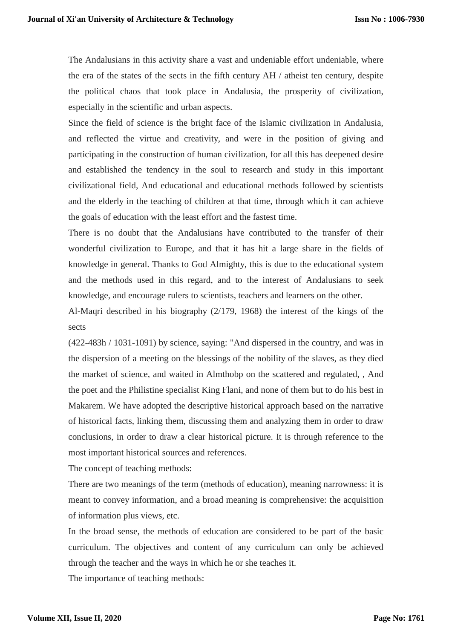The Andalusians in this activity share a vast and undeniable effort undeniable, where the era of the states of the sects in the fifth century AH / atheist ten century, despite the political chaos that took place in Andalusia, the prosperity of civilization, especially in the scientific and urban aspects.

Since the field of science is the bright face of the Islamic civilization in Andalusia, and reflected the virtue and creativity, and were in the position of giving and participating in the construction of human civilization, for all this has deepened desire and established the tendency in the soul to research and study in this important civilizational field, And educational and educational methods followed by scientists and the elderly in the teaching of children at that time, through which it can achieve the goals of education with the least effort and the fastest time.

There is no doubt that the Andalusians have contributed to the transfer of their wonderful civilization to Europe, and that it has hit a large share in the fields of knowledge in general. Thanks to God Almighty, this is due to the educational system and the methods used in this regard, and to the interest of Andalusians to seek knowledge, and encourage rulers to scientists, teachers and learners on the other.

Al-Maqri described in his biography (2/179, 1968) the interest of the kings of the sects

(422-483h / 1031-1091) by science, saying: "And dispersed in the country, and was in the dispersion of a meeting on the blessings of the nobility of the slaves, as they died the market of science, and waited in Almthobp on the scattered and regulated, , And the poet and the Philistine specialist King Flani, and none of them but to do his best in Makarem. We have adopted the descriptive historical approach based on the narrative of historical facts, linking them, discussing them and analyzing them in order to draw conclusions, in order to draw a clear historical picture. It is through reference to the most important historical sources and references.

The concept of teaching methods:

There are two meanings of the term (methods of education), meaning narrowness: it is meant to convey information, and a broad meaning is comprehensive: the acquisition of information plus views, etc.

In the broad sense, the methods of education are considered to be part of the basic curriculum. The objectives and content of any curriculum can only be achieved through the teacher and the ways in which he or she teaches it.

The importance of teaching methods: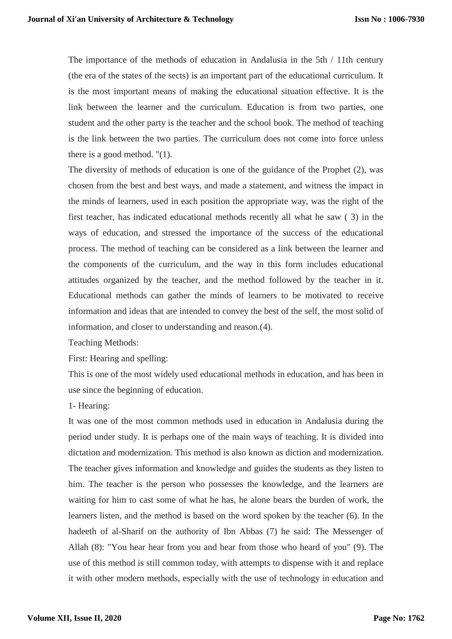The importance of the methods of education in Andalusia in the 5th / 11th century (the era of the states of the sects) is an important part of the educational curriculum. It is the most important means of making the educational situation effective. It is the link between the learner and the curriculum. Education is from two parties, one student and the other party is the teacher and the school book. The method of teaching is the link between the two parties. The curriculum does not come into force unless there is a good method. "(1).

The diversity of methods of education is one of the guidance of the Prophet (2), was chosen from the best and best ways, and made a statement, and witness the impact in the minds of learners, used in each position the appropriate way, was the right of the first teacher, has indicated educational methods recently all what he saw ( 3) in the ways of education, and stressed the importance of the success of the educational process. The method of teaching can be considered as a link between the learner and the components of the curriculum, and the way in this form includes educational attitudes organized by the teacher, and the method followed by the teacher in it. Educational methods can gather the minds of learners to be motivated to receive information and ideas that are intended to convey the best of the self, the most solid of information, and closer to understanding and reason.(4).

Teaching Methods:

First: Hearing and spelling:

This is one of the most widely used educational methods in education, and has been in use since the beginning of education.

1- Hearing:

It was one of the most common methods used in education in Andalusia during the period under study. It is perhaps one of the main ways of teaching. It is divided into dictation and modernization. This method is also known as diction and modernization. The teacher gives information and knowledge and guides the students as they listen to him. The teacher is the person who possesses the knowledge, and the learners are waiting for him to cast some of what he has, he alone bears the burden of work, the learners listen, and the method is based on the word spoken by the teacher (6). In the hadeeth of al-Sharif on the authority of Ibn Abbas (7) he said: The Messenger of Allah (8): "You hear hear from you and hear from those who heard of you" (9). The use of this method is still common today, with attempts to dispense with it and replace it with other modern methods, especially with the use of technology in education and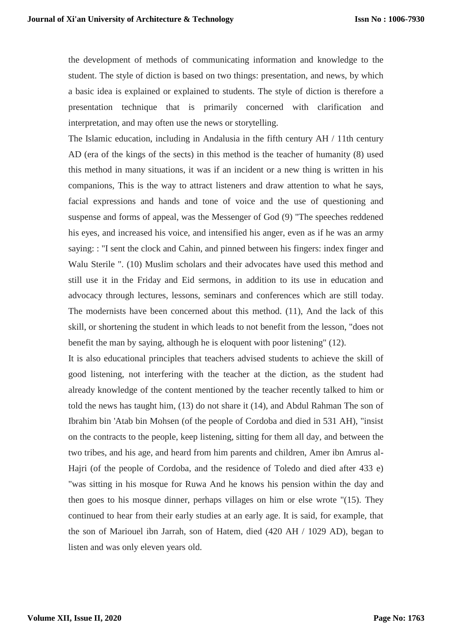the development of methods of communicating information and knowledge to the student. The style of diction is based on two things: presentation, and news, by which a basic idea is explained or explained to students. The style of diction is therefore a presentation technique that is primarily concerned with clarification and interpretation, and may often use the news or storytelling.

The Islamic education, including in Andalusia in the fifth century AH / 11th century AD (era of the kings of the sects) in this method is the teacher of humanity (8) used this method in many situations, it was if an incident or a new thing is written in his companions, This is the way to attract listeners and draw attention to what he says, facial expressions and hands and tone of voice and the use of questioning and suspense and forms of appeal, was the Messenger of God (9) "The speeches reddened his eyes, and increased his voice, and intensified his anger, even as if he was an army saying: : "I sent the clock and Cahin, and pinned between his fingers: index finger and Walu Sterile ". (10) Muslim scholars and their advocates have used this method and still use it in the Friday and Eid sermons, in addition to its use in education and advocacy through lectures, lessons, seminars and conferences which are still today. The modernists have been concerned about this method. (11), And the lack of this skill, or shortening the student in which leads to not benefit from the lesson, "does not benefit the man by saying, although he is eloquent with poor listening" (12).

It is also educational principles that teachers advised students to achieve the skill of good listening, not interfering with the teacher at the diction, as the student had already knowledge of the content mentioned by the teacher recently talked to him or told the news has taught him, (13) do not share it (14), and Abdul Rahman The son of Ibrahim bin 'Atab bin Mohsen (of the people of Cordoba and died in 531 AH), "insist on the contracts to the people, keep listening, sitting for them all day, and between the two tribes, and his age, and heard from him parents and children, Amer ibn Amrus al-Hajri (of the people of Cordoba, and the residence of Toledo and died after 433 e) "was sitting in his mosque for Ruwa And he knows his pension within the day and then goes to his mosque dinner, perhaps villages on him or else wrote "(15). They continued to hear from their early studies at an early age. It is said, for example, that the son of Mariouel ibn Jarrah, son of Hatem, died (420 AH / 1029 AD), began to listen and was only eleven years old.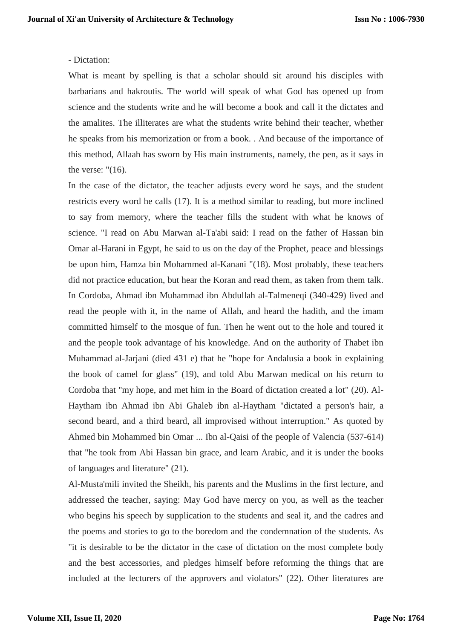### - Dictation:

What is meant by spelling is that a scholar should sit around his disciples with barbarians and hakroutis. The world will speak of what God has opened up from science and the students write and he will become a book and call it the dictates and the amalites. The illiterates are what the students write behind their teacher, whether he speaks from his memorization or from a book. . And because of the importance of this method, Allaah has sworn by His main instruments, namely, the pen, as it says in the verse:  $"(16)$ .

In the case of the dictator, the teacher adjusts every word he says, and the student restricts every word he calls (17). It is a method similar to reading, but more inclined to say from memory, where the teacher fills the student with what he knows of science. "I read on Abu Marwan al-Ta'abi said: I read on the father of Hassan bin Omar al-Harani in Egypt, he said to us on the day of the Prophet, peace and blessings be upon him, Hamza bin Mohammed al-Kanani "(18). Most probably, these teachers did not practice education, but hear the Koran and read them, as taken from them talk. In Cordoba, Ahmad ibn Muhammad ibn Abdullah al-Talmeneqi (340-429) lived and read the people with it, in the name of Allah, and heard the hadith, and the imam committed himself to the mosque of fun. Then he went out to the hole and toured it and the people took advantage of his knowledge. And on the authority of Thabet ibn Muhammad al-Jarjani (died 431 e) that he "hope for Andalusia a book in explaining the book of camel for glass" (19), and told Abu Marwan medical on his return to Cordoba that "my hope, and met him in the Board of dictation created a lot" (20). Al-Haytham ibn Ahmad ibn Abi Ghaleb ibn al-Haytham "dictated a person's hair, a second beard, and a third beard, all improvised without interruption." As quoted by Ahmed bin Mohammed bin Omar ... Ibn al-Qaisi of the people of Valencia (537-614) that "he took from Abi Hassan bin grace, and learn Arabic, and it is under the books of languages and literature" (21).

Al-Musta'mili invited the Sheikh, his parents and the Muslims in the first lecture, and addressed the teacher, saying: May God have mercy on you, as well as the teacher who begins his speech by supplication to the students and seal it, and the cadres and the poems and stories to go to the boredom and the condemnation of the students. As "it is desirable to be the dictator in the case of dictation on the most complete body and the best accessories, and pledges himself before reforming the things that are included at the lecturers of the approvers and violators" (22). Other literatures are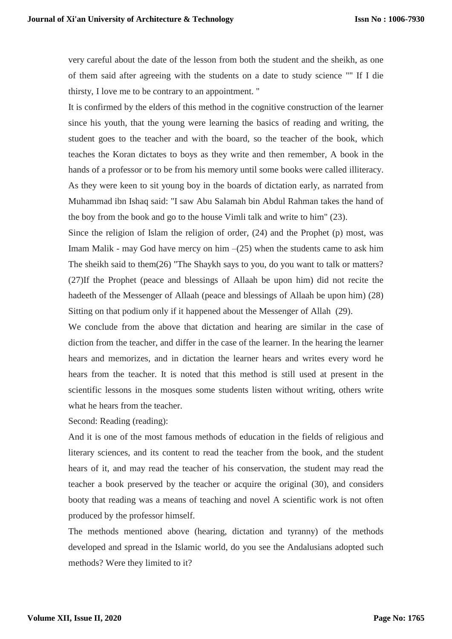very careful about the date of the lesson from both the student and the sheikh, as one of them said after agreeing with the students on a date to study science "" If I die thirsty, I love me to be contrary to an appointment. "

It is confirmed by the elders of this method in the cognitive construction of the learner since his youth, that the young were learning the basics of reading and writing, the student goes to the teacher and with the board, so the teacher of the book, which teaches the Koran dictates to boys as they write and then remember, A book in the hands of a professor or to be from his memory until some books were called illiteracy. As they were keen to sit young boy in the boards of dictation early, as narrated from Muhammad ibn Ishaq said: "I saw Abu Salamah bin Abdul Rahman takes the hand of the boy from the book and go to the house Vimli talk and write to him" (23).

Since the religion of Islam the religion of order, (24) and the Prophet (p) most, was Imam Malik - may God have mercy on him  $-(25)$  when the students came to ask him The sheikh said to them(26) "The Shaykh says to you, do you want to talk or matters? (27)If the Prophet (peace and blessings of Allaah be upon him) did not recite the hadeeth of the Messenger of Allaah (peace and blessings of Allaah be upon him) (28) Sitting on that podium only if it happened about the Messenger of Allah (29).

We conclude from the above that dictation and hearing are similar in the case of diction from the teacher, and differ in the case of the learner. In the hearing the learner hears and memorizes, and in dictation the learner hears and writes every word he hears from the teacher. It is noted that this method is still used at present in the scientific lessons in the mosques some students listen without writing, others write what he hears from the teacher.

Second: Reading (reading):

And it is one of the most famous methods of education in the fields of religious and literary sciences, and its content to read the teacher from the book, and the student hears of it, and may read the teacher of his conservation, the student may read the teacher a book preserved by the teacher or acquire the original (30), and considers booty that reading was a means of teaching and novel A scientific work is not often produced by the professor himself.

The methods mentioned above (hearing, dictation and tyranny) of the methods developed and spread in the Islamic world, do you see the Andalusians adopted such methods? Were they limited to it?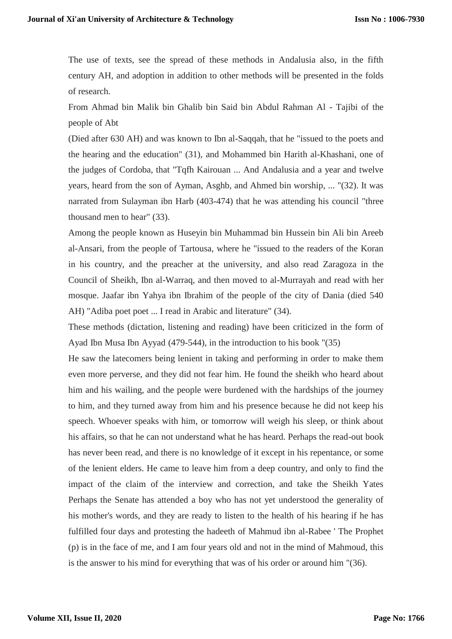The use of texts, see the spread of these methods in Andalusia also, in the fifth century AH, and adoption in addition to other methods will be presented in the folds of research.

From Ahmad bin Malik bin Ghalib bin Said bin Abdul Rahman Al - Tajibi of the people of Abt

(Died after 630 AH) and was known to Ibn al-Saqqah, that he "issued to the poets and the hearing and the education" (31), and Mohammed bin Harith al-Khashani, one of the judges of Cordoba, that "Tqfh Kairouan ... And Andalusia and a year and twelve years, heard from the son of Ayman, Asghb, and Ahmed bin worship, ... "(32). It was narrated from Sulayman ibn Harb (403-474) that he was attending his council "three thousand men to hear" (33).

Among the people known as Huseyin bin Muhammad bin Hussein bin Ali bin Areeb al-Ansari, from the people of Tartousa, where he "issued to the readers of the Koran in his country, and the preacher at the university, and also read Zaragoza in the Council of Sheikh, Ibn al-Warraq, and then moved to al-Murrayah and read with her mosque. Jaafar ibn Yahya ibn Ibrahim of the people of the city of Dania (died 540 AH) "Adiba poet poet ... I read in Arabic and literature" (34).

These methods (dictation, listening and reading) have been criticized in the form of Ayad Ibn Musa Ibn Ayyad (479-544), in the introduction to his book "(35)

He saw the latecomers being lenient in taking and performing in order to make them even more perverse, and they did not fear him. He found the sheikh who heard about him and his wailing, and the people were burdened with the hardships of the journey to him, and they turned away from him and his presence because he did not keep his speech. Whoever speaks with him, or tomorrow will weigh his sleep, or think about his affairs, so that he can not understand what he has heard. Perhaps the read-out book has never been read, and there is no knowledge of it except in his repentance, or some of the lenient elders. He came to leave him from a deep country, and only to find the impact of the claim of the interview and correction, and take the Sheikh Yates Perhaps the Senate has attended a boy who has not yet understood the generality of his mother's words, and they are ready to listen to the health of his hearing if he has fulfilled four days and protesting the hadeeth of Mahmud ibn al-Rabee ' The Prophet (p) is in the face of me, and I am four years old and not in the mind of Mahmoud, this is the answer to his mind for everything that was of his order or around him "(36).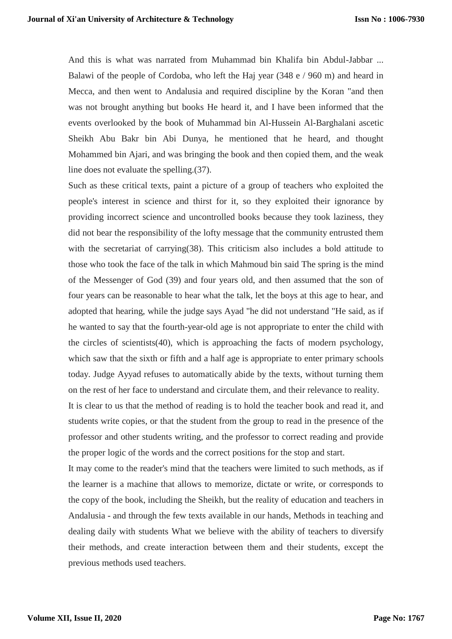And this is what was narrated from Muhammad bin Khalifa bin Abdul-Jabbar ... Balawi of the people of Cordoba, who left the Haj year (348 e / 960 m) and heard in Mecca, and then went to Andalusia and required discipline by the Koran "and then was not brought anything but books He heard it, and I have been informed that the events overlooked by the book of Muhammad bin Al-Hussein Al-Barghalani ascetic Sheikh Abu Bakr bin Abi Dunya, he mentioned that he heard, and thought Mohammed bin Ajari, and was bringing the book and then copied them, and the weak line does not evaluate the spelling.(37).

Such as these critical texts, paint a picture of a group of teachers who exploited the people's interest in science and thirst for it, so they exploited their ignorance by providing incorrect science and uncontrolled books because they took laziness, they did not bear the responsibility of the lofty message that the community entrusted them with the secretariat of carrying(38). This criticism also includes a bold attitude to those who took the face of the talk in which Mahmoud bin said The spring is the mind of the Messenger of God (39) and four years old, and then assumed that the son of four years can be reasonable to hear what the talk, let the boys at this age to hear, and adopted that hearing, while the judge says Ayad "he did not understand "He said, as if he wanted to say that the fourth-year-old age is not appropriate to enter the child with the circles of scientists(40), which is approaching the facts of modern psychology, which saw that the sixth or fifth and a half age is appropriate to enter primary schools today. Judge Ayyad refuses to automatically abide by the texts, without turning them on the rest of her face to understand and circulate them, and their relevance to reality.

It is clear to us that the method of reading is to hold the teacher book and read it, and students write copies, or that the student from the group to read in the presence of the professor and other students writing, and the professor to correct reading and provide the proper logic of the words and the correct positions for the stop and start.

It may come to the reader's mind that the teachers were limited to such methods, as if the learner is a machine that allows to memorize, dictate or write, or corresponds to the copy of the book, including the Sheikh, but the reality of education and teachers in Andalusia - and through the few texts available in our hands, Methods in teaching and dealing daily with students What we believe with the ability of teachers to diversify their methods, and create interaction between them and their students, except the previous methods used teachers.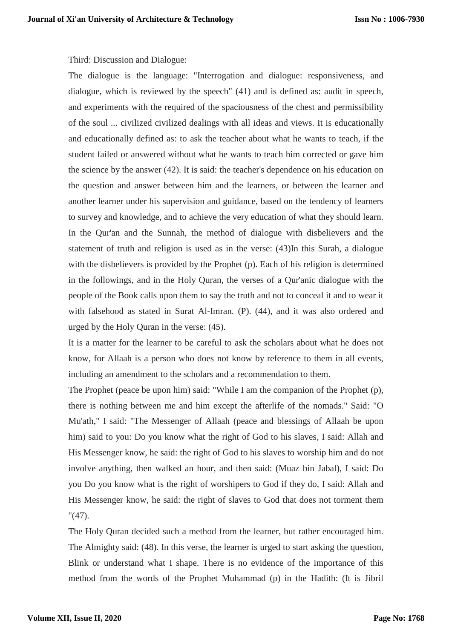### Third: Discussion and Dialogue:

The dialogue is the language: "Interrogation and dialogue: responsiveness, and dialogue, which is reviewed by the speech" (41) and is defined as: audit in speech, and experiments with the required of the spaciousness of the chest and permissibility of the soul ... civilized civilized dealings with all ideas and views. It is educationally and educationally defined as: to ask the teacher about what he wants to teach, if the student failed or answered without what he wants to teach him corrected or gave him the science by the answer (42). It is said: the teacher's dependence on his education on the question and answer between him and the learners, or between the learner and another learner under his supervision and guidance, based on the tendency of learners to survey and knowledge, and to achieve the very education of what they should learn. In the Qur'an and the Sunnah, the method of dialogue with disbelievers and the statement of truth and religion is used as in the verse: (43)In this Surah, a dialogue with the disbelievers is provided by the Prophet (p). Each of his religion is determined in the followings, and in the Holy Quran, the verses of a Qur'anic dialogue with the people of the Book calls upon them to say the truth and not to conceal it and to wear it with falsehood as stated in Surat Al-Imran. (P). (44), and it was also ordered and urged by the Holy Quran in the verse: (45).

It is a matter for the learner to be careful to ask the scholars about what he does not know, for Allaah is a person who does not know by reference to them in all events, including an amendment to the scholars and a recommendation to them.

The Prophet (peace be upon him) said: "While I am the companion of the Prophet (p), there is nothing between me and him except the afterlife of the nomads." Said: "O Mu'ath," I said: "The Messenger of Allaah (peace and blessings of Allaah be upon him) said to you: Do you know what the right of God to his slaves, I said: Allah and His Messenger know, he said: the right of God to his slaves to worship him and do not involve anything, then walked an hour, and then said: (Muaz bin Jabal), I said: Do you Do you know what is the right of worshipers to God if they do, I said: Allah and His Messenger know, he said: the right of slaves to God that does not torment them "(47).

The Holy Quran decided such a method from the learner, but rather encouraged him. The Almighty said: (48). In this verse, the learner is urged to start asking the question, Blink or understand what I shape. There is no evidence of the importance of this method from the words of the Prophet Muhammad (p) in the Hadith: (It is Jibril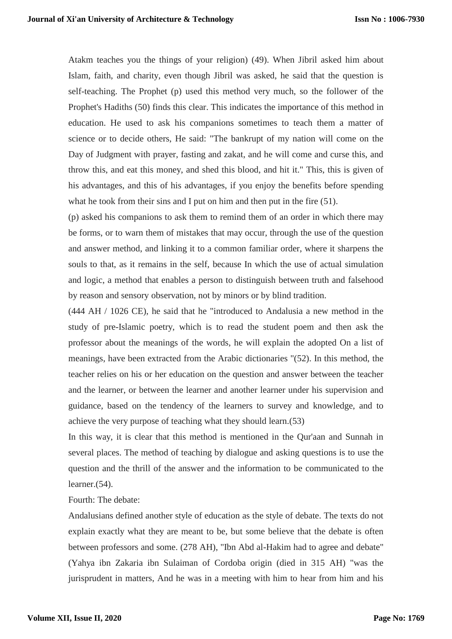Atakm teaches you the things of your religion) (49). When Jibril asked him about Islam, faith, and charity, even though Jibril was asked, he said that the question is self-teaching. The Prophet (p) used this method very much, so the follower of the Prophet's Hadiths (50) finds this clear. This indicates the importance of this method in education. He used to ask his companions sometimes to teach them a matter of science or to decide others, He said: "The bankrupt of my nation will come on the Day of Judgment with prayer, fasting and zakat, and he will come and curse this, and throw this, and eat this money, and shed this blood, and hit it." This, this is given of his advantages, and this of his advantages, if you enjoy the benefits before spending what he took from their sins and I put on him and then put in the fire  $(51)$ .

(p) asked his companions to ask them to remind them of an order in which there may be forms, or to warn them of mistakes that may occur, through the use of the question and answer method, and linking it to a common familiar order, where it sharpens the souls to that, as it remains in the self, because In which the use of actual simulation and logic, a method that enables a person to distinguish between truth and falsehood by reason and sensory observation, not by minors or by blind tradition.

(444 AH / 1026 CE), he said that he "introduced to Andalusia a new method in the study of pre-Islamic poetry, which is to read the student poem and then ask the professor about the meanings of the words, he will explain the adopted On a list of meanings, have been extracted from the Arabic dictionaries "(52). In this method, the teacher relies on his or her education on the question and answer between the teacher and the learner, or between the learner and another learner under his supervision and guidance, based on the tendency of the learners to survey and knowledge, and to achieve the very purpose of teaching what they should learn.(53)

In this way, it is clear that this method is mentioned in the Qur'aan and Sunnah in several places. The method of teaching by dialogue and asking questions is to use the question and the thrill of the answer and the information to be communicated to the learner.(54).

Fourth: The debate:

Andalusians defined another style of education as the style of debate. The texts do not explain exactly what they are meant to be, but some believe that the debate is often between professors and some. (278 AH), "Ibn Abd al-Hakim had to agree and debate" (Yahya ibn Zakaria ibn Sulaiman of Cordoba origin (died in 315 AH) "was the jurisprudent in matters, And he was in a meeting with him to hear from him and his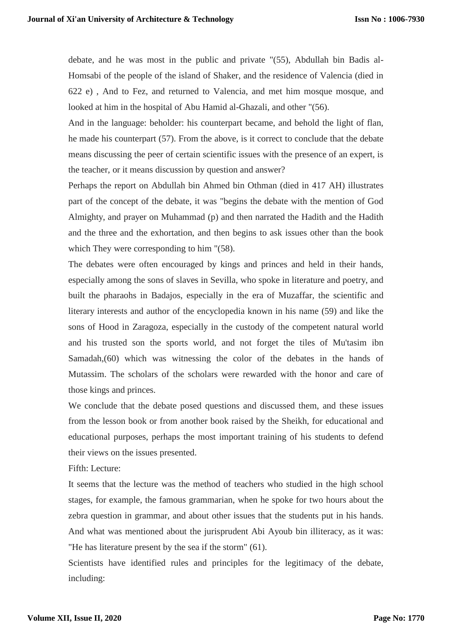debate, and he was most in the public and private "(55), Abdullah bin Badis al-Homsabi of the people of the island of Shaker, and the residence of Valencia (died in 622 e) , And to Fez, and returned to Valencia, and met him mosque mosque, and looked at him in the hospital of Abu Hamid al-Ghazali, and other "(56).

And in the language: beholder: his counterpart became, and behold the light of flan, he made his counterpart (57). From the above, is it correct to conclude that the debate means discussing the peer of certain scientific issues with the presence of an expert, is the teacher, or it means discussion by question and answer?

Perhaps the report on Abdullah bin Ahmed bin Othman (died in 417 AH) illustrates part of the concept of the debate, it was "begins the debate with the mention of God Almighty, and prayer on Muhammad (p) and then narrated the Hadith and the Hadith and the three and the exhortation, and then begins to ask issues other than the book which They were corresponding to him  $\degree$ (58).

The debates were often encouraged by kings and princes and held in their hands, especially among the sons of slaves in Sevilla, who spoke in literature and poetry, and built the pharaohs in Badajos, especially in the era of Muzaffar, the scientific and literary interests and author of the encyclopedia known in his name (59) and like the sons of Hood in Zaragoza, especially in the custody of the competent natural world and his trusted son the sports world, and not forget the tiles of Mu'tasim ibn Samadah,(60) which was witnessing the color of the debates in the hands of Mutassim. The scholars of the scholars were rewarded with the honor and care of those kings and princes.

We conclude that the debate posed questions and discussed them, and these issues from the lesson book or from another book raised by the Sheikh, for educational and educational purposes, perhaps the most important training of his students to defend their views on the issues presented.

Fifth: Lecture:

It seems that the lecture was the method of teachers who studied in the high school stages, for example, the famous grammarian, when he spoke for two hours about the zebra question in grammar, and about other issues that the students put in his hands. And what was mentioned about the jurisprudent Abi Ayoub bin illiteracy, as it was: "He has literature present by the sea if the storm" (61).

Scientists have identified rules and principles for the legitimacy of the debate, including: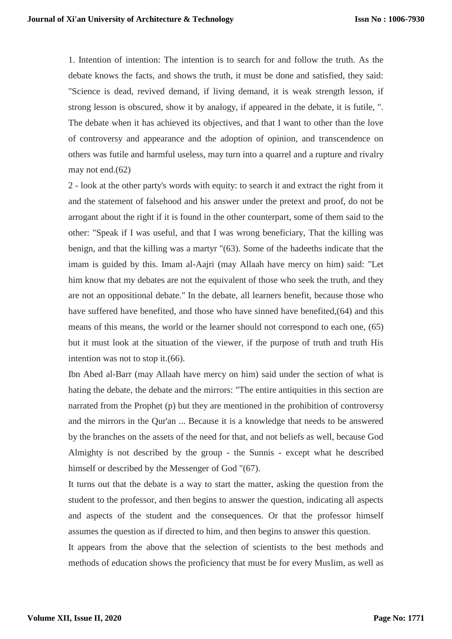1. Intention of intention: The intention is to search for and follow the truth. As the debate knows the facts, and shows the truth, it must be done and satisfied, they said: "Science is dead, revived demand, if living demand, it is weak strength lesson, if strong lesson is obscured, show it by analogy, if appeared in the debate, it is futile, ". The debate when it has achieved its objectives, and that I want to other than the love of controversy and appearance and the adoption of opinion, and transcendence on others was futile and harmful useless, may turn into a quarrel and a rupture and rivalry may not end.(62)

2 - look at the other party's words with equity: to search it and extract the right from it and the statement of falsehood and his answer under the pretext and proof, do not be arrogant about the right if it is found in the other counterpart, some of them said to the other: "Speak if I was useful, and that I was wrong beneficiary, That the killing was benign, and that the killing was a martyr "(63). Some of the hadeeths indicate that the imam is guided by this. Imam al-Aajri (may Allaah have mercy on him) said: "Let him know that my debates are not the equivalent of those who seek the truth, and they are not an oppositional debate." In the debate, all learners benefit, because those who have suffered have benefited, and those who have sinned have benefited,(64) and this means of this means, the world or the learner should not correspond to each one, (65) but it must look at the situation of the viewer, if the purpose of truth and truth His intention was not to stop it.(66).

Ibn Abed al-Barr (may Allaah have mercy on him) said under the section of what is hating the debate, the debate and the mirrors: "The entire antiquities in this section are narrated from the Prophet (p) but they are mentioned in the prohibition of controversy and the mirrors in the Qur'an ... Because it is a knowledge that needs to be answered by the branches on the assets of the need for that, and not beliefs as well, because God Almighty is not described by the group - the Sunnis - except what he described himself or described by the Messenger of God "(67).

It turns out that the debate is a way to start the matter, asking the question from the student to the professor, and then begins to answer the question, indicating all aspects and aspects of the student and the consequences. Or that the professor himself assumes the question as if directed to him, and then begins to answer this question.

It appears from the above that the selection of scientists to the best methods and methods of education shows the proficiency that must be for every Muslim, as well as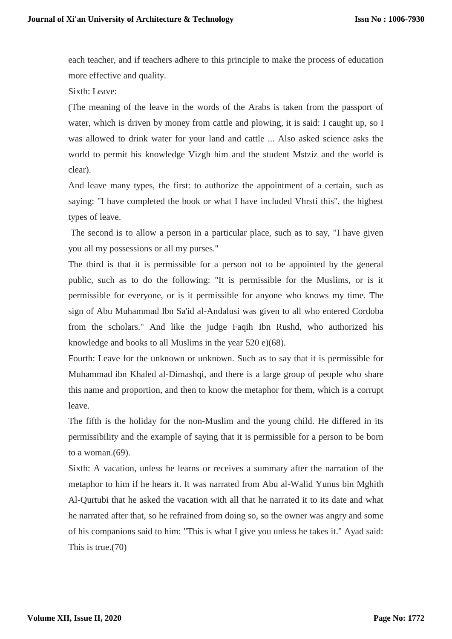each teacher, and if teachers adhere to this principle to make the process of education more effective and quality.

Sixth: Leave:

(The meaning of the leave in the words of the Arabs is taken from the passport of water, which is driven by money from cattle and plowing, it is said: I caught up, so I was allowed to drink water for your land and cattle ... Also asked science asks the world to permit his knowledge Vizgh him and the student Mstziz and the world is clear).

And leave many types, the first: to authorize the appointment of a certain, such as saying: "I have completed the book or what I have included Vhrsti this", the highest types of leave.

The second is to allow a person in a particular place, such as to say, "I have given you all my possessions or all my purses."

The third is that it is permissible for a person not to be appointed by the general public, such as to do the following: "It is permissible for the Muslims, or is it permissible for everyone, or is it permissible for anyone who knows my time. The sign of Abu Muhammad Ibn Sa'id al-Andalusi was given to all who entered Cordoba from the scholars." And like the judge Faqih Ibn Rushd, who authorized his knowledge and books to all Muslims in the year 520 e)(68).

Fourth: Leave for the unknown or unknown. Such as to say that it is permissible for Muhammad ibn Khaled al-Dimashqi, and there is a large group of people who share this name and proportion, and then to know the metaphor for them, which is a corrupt leave.

The fifth is the holiday for the non-Muslim and the young child. He differed in its permissibility and the example of saying that it is permissible for a person to be born to a woman.(69).

Sixth: A vacation, unless he learns or receives a summary after the narration of the metaphor to him if he hears it. It was narrated from Abu al-Walid Yunus bin Mghith Al-Qurtubi that he asked the vacation with all that he narrated it to its date and what he narrated after that, so he refrained from doing so, so the owner was angry and some of his companions said to him: "This is what I give you unless he takes it." Ayad said: This is true.(70)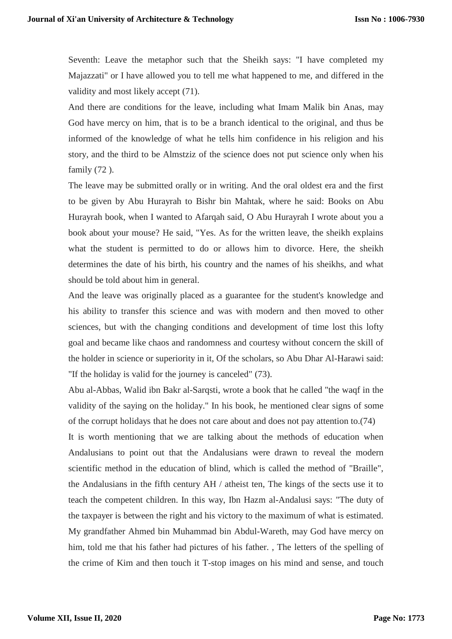Seventh: Leave the metaphor such that the Sheikh says: "I have completed my Majazzati" or I have allowed you to tell me what happened to me, and differed in the validity and most likely accept (71).

And there are conditions for the leave, including what Imam Malik bin Anas, may God have mercy on him, that is to be a branch identical to the original, and thus be informed of the knowledge of what he tells him confidence in his religion and his story, and the third to be Almstziz of the science does not put science only when his family  $(72)$ .

The leave may be submitted orally or in writing. And the oral oldest era and the first to be given by Abu Hurayrah to Bishr bin Mahtak, where he said: Books on Abu Hurayrah book, when I wanted to Afarqah said, O Abu Hurayrah I wrote about you a book about your mouse? He said, "Yes. As for the written leave, the sheikh explains what the student is permitted to do or allows him to divorce. Here, the sheikh determines the date of his birth, his country and the names of his sheikhs, and what should be told about him in general.

And the leave was originally placed as a guarantee for the student's knowledge and his ability to transfer this science and was with modern and then moved to other sciences, but with the changing conditions and development of time lost this lofty goal and became like chaos and randomness and courtesy without concern the skill of the holder in science or superiority in it, Of the scholars, so Abu Dhar Al-Harawi said: "If the holiday is valid for the journey is canceled" (73).

Abu al-Abbas, Walid ibn Bakr al-Sarqsti, wrote a book that he called "the waqf in the validity of the saying on the holiday." In his book, he mentioned clear signs of some of the corrupt holidays that he does not care about and does not pay attention to.(74)

It is worth mentioning that we are talking about the methods of education when Andalusians to point out that the Andalusians were drawn to reveal the modern scientific method in the education of blind, which is called the method of "Braille", the Andalusians in the fifth century AH / atheist ten, The kings of the sects use it to teach the competent children. In this way, Ibn Hazm al-Andalusi says: "The duty of the taxpayer is between the right and his victory to the maximum of what is estimated. My grandfather Ahmed bin Muhammad bin Abdul-Wareth, may God have mercy on him, told me that his father had pictures of his father. , The letters of the spelling of the crime of Kim and then touch it T-stop images on his mind and sense, and touch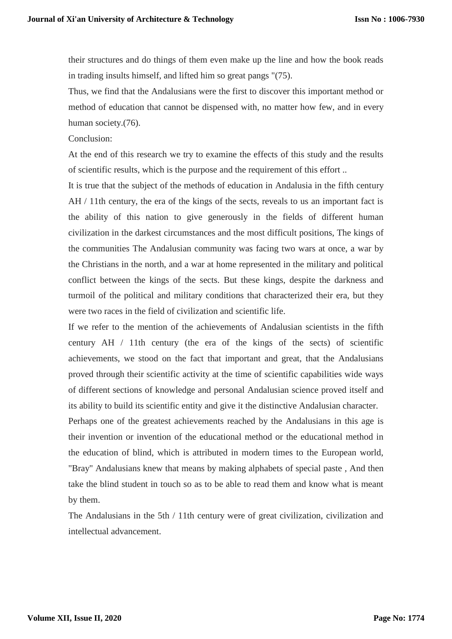their structures and do things of them even make up the line and how the book reads in trading insults himself, and lifted him so great pangs "(75).

Thus, we find that the Andalusians were the first to discover this important method or method of education that cannot be dispensed with, no matter how few, and in every human society.(76).

Conclusion:

At the end of this research we try to examine the effects of this study and the results of scientific results, which is the purpose and the requirement of this effort ..

It is true that the subject of the methods of education in Andalusia in the fifth century AH / 11th century, the era of the kings of the sects, reveals to us an important fact is the ability of this nation to give generously in the fields of different human civilization in the darkest circumstances and the most difficult positions, The kings of the communities The Andalusian community was facing two wars at once, a war by the Christians in the north, and a war at home represented in the military and political conflict between the kings of the sects. But these kings, despite the darkness and turmoil of the political and military conditions that characterized their era, but they were two races in the field of civilization and scientific life.

If we refer to the mention of the achievements of Andalusian scientists in the fifth century AH / 11th century (the era of the kings of the sects) of scientific achievements, we stood on the fact that important and great, that the Andalusians proved through their scientific activity at the time of scientific capabilities wide ways of different sections of knowledge and personal Andalusian science proved itself and its ability to build its scientific entity and give it the distinctive Andalusian character.

Perhaps one of the greatest achievements reached by the Andalusians in this age is their invention or invention of the educational method or the educational method in the education of blind, which is attributed in modern times to the European world, "Bray" Andalusians knew that means by making alphabets of special paste , And then take the blind student in touch so as to be able to read them and know what is meant by them.

The Andalusians in the 5th / 11th century were of great civilization, civilization and intellectual advancement.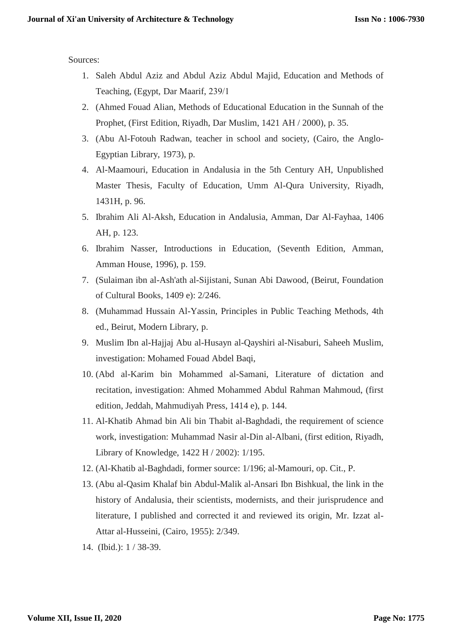Sources:

- 1. Saleh Abdul Aziz and Abdul Aziz Abdul Majid, Education and Methods of Teaching, (Egypt, Dar Maarif, 239/1
- 2. (Ahmed Fouad Alian, Methods of Educational Education in the Sunnah of the Prophet, (First Edition, Riyadh, Dar Muslim, 1421 AH / 2000), p. 35.
- 3. (Abu Al-Fotouh Radwan, teacher in school and society, (Cairo, the Anglo-Egyptian Library, 1973), p.
- 4. Al-Maamouri, Education in Andalusia in the 5th Century AH, Unpublished Master Thesis, Faculty of Education, Umm Al-Qura University, Riyadh, 1431H, p. 96.
- 5. Ibrahim Ali Al-Aksh, Education in Andalusia, Amman, Dar Al-Fayhaa, 1406 AH, p. 123.
- 6. Ibrahim Nasser, Introductions in Education, (Seventh Edition, Amman, Amman House, 1996), p. 159.
- 7. (Sulaiman ibn al-Ash'ath al-Sijistani, Sunan Abi Dawood, (Beirut, Foundation of Cultural Books, 1409 e): 2/246.
- 8. (Muhammad Hussain Al-Yassin, Principles in Public Teaching Methods, 4th ed., Beirut, Modern Library, p.
- 9. Muslim Ibn al-Hajjaj Abu al-Husayn al-Qayshiri al-Nisaburi, Saheeh Muslim, investigation: Mohamed Fouad Abdel Baqi,
- 10. (Abd al-Karim bin Mohammed al-Samani, Literature of dictation and recitation, investigation: Ahmed Mohammed Abdul Rahman Mahmoud, (first edition, Jeddah, Mahmudiyah Press, 1414 e), p. 144.
- 11. Al-Khatib Ahmad bin Ali bin Thabit al-Baghdadi, the requirement of science work, investigation: Muhammad Nasir al-Din al-Albani, (first edition, Riyadh, Library of Knowledge, 1422 H / 2002): 1/195.
- 12. (Al-Khatib al-Baghdadi, former source: 1/196; al-Mamouri, op. Cit., P.
- 13. (Abu al-Qasim Khalaf bin Abdul-Malik al-Ansari Ibn Bishkual, the link in the history of Andalusia, their scientists, modernists, and their jurisprudence and literature, I published and corrected it and reviewed its origin, Mr. Izzat al-Attar al-Husseini, (Cairo, 1955): 2/349.
- 14. (Ibid.): 1 / 38-39.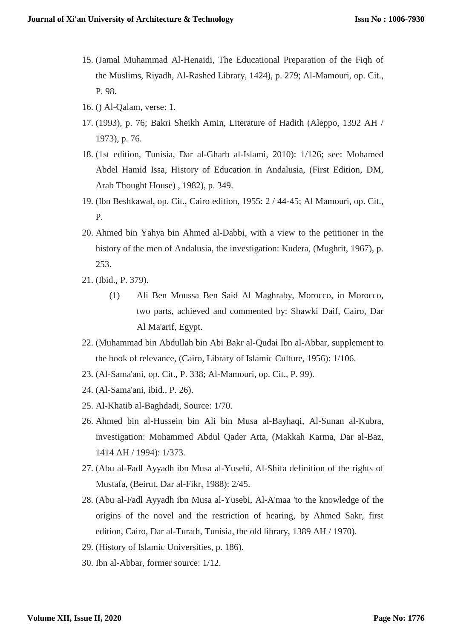- 15. (Jamal Muhammad Al-Henaidi, The Educational Preparation of the Fiqh of the Muslims, Riyadh, Al-Rashed Library, 1424), p. 279; Al-Mamouri, op. Cit., P. 98.
- 16. () Al-Qalam, verse: 1.
- 17. (1993), p. 76; Bakri Sheikh Amin, Literature of Hadith (Aleppo, 1392 AH / 1973), p. 76.
- 18. (1st edition, Tunisia, Dar al-Gharb al-Islami, 2010): 1/126; see: Mohamed Abdel Hamid Issa, History of Education in Andalusia, (First Edition, DM, Arab Thought House) , 1982), p. 349.
- 19. (Ibn Beshkawal, op. Cit., Cairo edition, 1955: 2 / 44-45; Al Mamouri, op. Cit., P.
- 20. Ahmed bin Yahya bin Ahmed al-Dabbi, with a view to the petitioner in the history of the men of Andalusia, the investigation: Kudera, (Mughrit, 1967), p. 253.
- 21. (Ibid., P. 379).
	- (1) Ali Ben Moussa Ben Said Al Maghraby, Morocco, in Morocco, two parts, achieved and commented by: Shawki Daif, Cairo, Dar Al Ma'arif, Egypt.
- 22. (Muhammad bin Abdullah bin Abi Bakr al-Qudai Ibn al-Abbar, supplement to the book of relevance, (Cairo, Library of Islamic Culture, 1956): 1/106.
- 23. (Al-Sama'ani, op. Cit., P. 338; Al-Mamouri, op. Cit., P. 99).
- 24. (Al-Sama'ani, ibid., P. 26).
- 25. Al-Khatib al-Baghdadi, Source: 1/70.
- 26. Ahmed bin al-Hussein bin Ali bin Musa al-Bayhaqi, Al-Sunan al-Kubra, investigation: Mohammed Abdul Qader Atta, (Makkah Karma, Dar al-Baz, 1414 AH / 1994): 1/373.
- 27. (Abu al-Fadl Ayyadh ibn Musa al-Yusebi, Al-Shifa definition of the rights of Mustafa, (Beirut, Dar al-Fikr, 1988): 2/45.
- 28. (Abu al-Fadl Ayyadh ibn Musa al-Yusebi, Al-A'maa 'to the knowledge of the origins of the novel and the restriction of hearing, by Ahmed Sakr, first edition, Cairo, Dar al-Turath, Tunisia, the old library, 1389 AH / 1970).
- 29. (History of Islamic Universities, p. 186).
- 30. Ibn al-Abbar, former source: 1/12.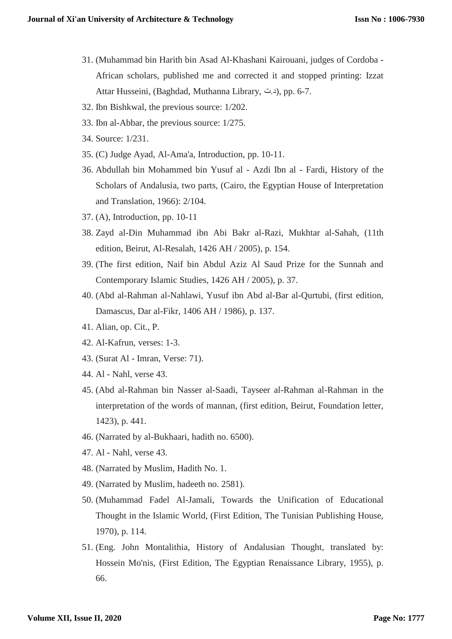- 31. (Muhammad bin Harith bin Asad Al-Khashani Kairouani, judges of Cordoba African scholars, published me and corrected it and stopped printing: Izzat Attar Husseini, (Baghdad, Muthanna Library, د.ت), pp. 6-7.
- 32. Ibn Bishkwal, the previous source: 1/202.
- 33. Ibn al-Abbar, the previous source: 1/275.
- 34. Source: 1/231.
- 35. (C) Judge Ayad, Al-Ama'a, Introduction, pp. 10-11.
- 36. Abdullah bin Mohammed bin Yusuf al Azdi Ibn al Fardi, History of the Scholars of Andalusia, two parts, (Cairo, the Egyptian House of Interpretation and Translation, 1966): 2/104.
- 37. (A), Introduction, pp. 10-11
- 38. Zayd al-Din Muhammad ibn Abi Bakr al-Razi, Mukhtar al-Sahah, (11th edition, Beirut, Al-Resalah, 1426 AH / 2005), p. 154.
- 39. (The first edition, Naif bin Abdul Aziz Al Saud Prize for the Sunnah and Contemporary Islamic Studies, 1426 AH / 2005), p. 37.
- 40. (Abd al-Rahman al-Nahlawi, Yusuf ibn Abd al-Bar al-Qurtubi, (first edition, Damascus, Dar al-Fikr, 1406 AH / 1986), p. 137.
- 41. Alian, op. Cit., P.
- 42. Al-Kafrun, verses: 1-3.
- 43. (Surat Al Imran, Verse: 71).
- 44. Al Nahl, verse 43.
- 45. (Abd al-Rahman bin Nasser al-Saadi, Tayseer al-Rahman al-Rahman in the interpretation of the words of mannan, (first edition, Beirut, Foundation letter, 1423), p. 441.
- 46. (Narrated by al-Bukhaari, hadith no. 6500).
- 47. Al Nahl, verse 43.
- 48. (Narrated by Muslim, Hadith No. 1.
- 49. (Narrated by Muslim, hadeeth no. 2581).
- 50. (Muhammad Fadel Al-Jamali, Towards the Unification of Educational Thought in the Islamic World, (First Edition, The Tunisian Publishing House, 1970), p. 114.
- 51. (Eng. John Montalithia, History of Andalusian Thought, translated by: Hossein Mo'nis, (First Edition, The Egyptian Renaissance Library, 1955), p. 66.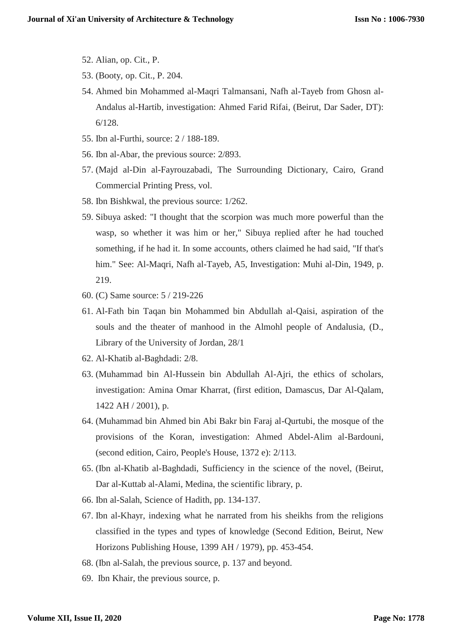- 52. Alian, op. Cit., P.
- 53. (Booty, op. Cit., P. 204.
- 54. Ahmed bin Mohammed al-Maqri Talmansani, Nafh al-Tayeb from Ghosn al-Andalus al-Hartib, investigation: Ahmed Farid Rifai, (Beirut, Dar Sader, DT): 6/128.
- 55. Ibn al-Furthi, source: 2 / 188-189.
- 56. Ibn al-Abar, the previous source: 2/893.
- 57. (Majd al-Din al-Fayrouzabadi, The Surrounding Dictionary, Cairo, Grand Commercial Printing Press, vol.
- 58. Ibn Bishkwal, the previous source: 1/262.
- 59. Sibuya asked: "I thought that the scorpion was much more powerful than the wasp, so whether it was him or her," Sibuya replied after he had touched something, if he had it. In some accounts, others claimed he had said, "If that's him." See: Al-Maqri, Nafh al-Tayeb, A5, Investigation: Muhi al-Din, 1949, p. 219.
- 60. (C) Same source: 5 / 219-226
- 61. Al-Fath bin Taqan bin Mohammed bin Abdullah al-Qaisi, aspiration of the souls and the theater of manhood in the Almohl people of Andalusia, (D., Library of the University of Jordan, 28/1
- 62. Al-Khatib al-Baghdadi: 2/8.
- 63. (Muhammad bin Al-Hussein bin Abdullah Al-Ajri, the ethics of scholars, investigation: Amina Omar Kharrat, (first edition, Damascus, Dar Al-Qalam, 1422 AH / 2001), p.
- 64. (Muhammad bin Ahmed bin Abi Bakr bin Faraj al-Qurtubi, the mosque of the provisions of the Koran, investigation: Ahmed Abdel-Alim al-Bardouni, (second edition, Cairo, People's House, 1372 e): 2/113.
- 65. (Ibn al-Khatib al-Baghdadi, Sufficiency in the science of the novel, (Beirut, Dar al-Kuttab al-Alami, Medina, the scientific library, p.
- 66. Ibn al-Salah, Science of Hadith, pp. 134-137.
- 67. Ibn al-Khayr, indexing what he narrated from his sheikhs from the religions classified in the types and types of knowledge (Second Edition, Beirut, New Horizons Publishing House, 1399 AH / 1979), pp. 453-454.
- 68. (Ibn al-Salah, the previous source, p. 137 and beyond.
- 69. Ibn Khair, the previous source, p.